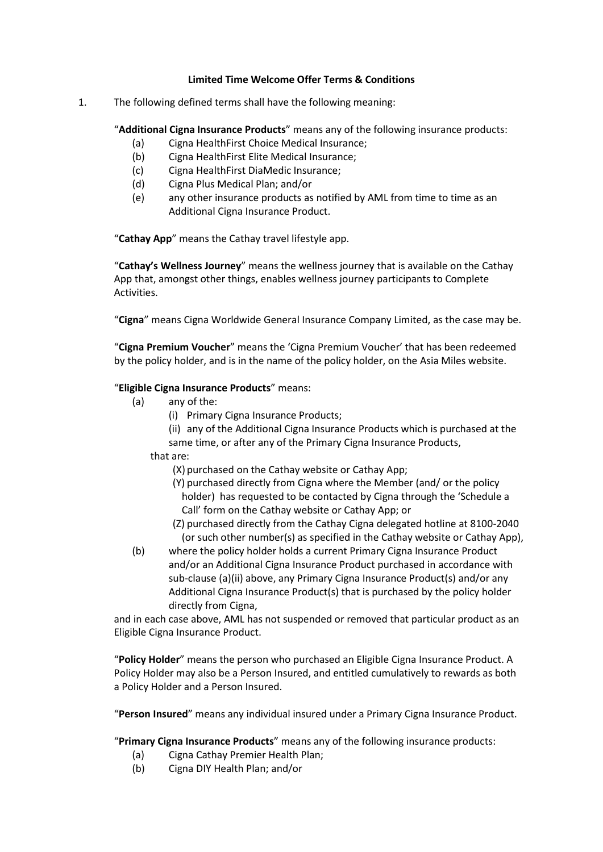## **Limited Time Welcome Offer Terms & Conditions**

1. The following defined terms shall have the following meaning:

"**Additional Cigna Insurance Products**" means any of the following insurance products:

- (a) Cigna HealthFirst Choice Medical Insurance;
- (b) Cigna HealthFirst Elite Medical Insurance;
- (c) Cigna HealthFirst DiaMedic Insurance;
- (d) Cigna Plus Medical Plan; and/or
- (e) any other insurance products as notified by AML from time to time as an Additional Cigna Insurance Product.

"**Cathay App**" means the Cathay travel lifestyle app.

"**Cathay's Wellness Journey**" means the wellness journey that is available on the Cathay App that, amongst other things, enables wellness journey participants to Complete Activities.

"**Cigna**" means Cigna Worldwide General Insurance Company Limited, as the case may be.

"**Cigna Premium Voucher**" means the 'Cigna Premium Voucher' that has been redeemed by the policy holder, and is in the name of the policy holder, on the Asia Miles website.

## "**Eligible Cigna Insurance Products**" means:

- (a) any of the:
	- (i) Primary Cigna Insurance Products;
	- (ii) any of the Additional Cigna Insurance Products which is purchased at the same time, or after any of the Primary Cigna Insurance Products,

that are:

- (X) purchased on the Cathay website or Cathay App;
- (Y) purchased directly from Cigna where the Member (and/ or the policy holder) has requested to be contacted by Cigna through the 'Schedule a Call' form on the Cathay website or Cathay App; or
- (Z) purchased directly from the Cathay Cigna delegated hotline at 8100-2040 (or such other number(s) as specified in the Cathay website or Cathay App),
- (b) where the policy holder holds a current Primary Cigna Insurance Product and/or an Additional Cigna Insurance Product purchased in accordance with sub-clause (a)(ii) above, any Primary Cigna Insurance Product(s) and/or any Additional Cigna Insurance Product(s) that is purchased by the policy holder directly from Cigna,

and in each case above, AML has not suspended or removed that particular product as an Eligible Cigna Insurance Product.

"**Policy Holder**" means the person who purchased an Eligible Cigna Insurance Product. A Policy Holder may also be a Person Insured, and entitled cumulatively to rewards as both a Policy Holder and a Person Insured.

"**Person Insured**" means any individual insured under a Primary Cigna Insurance Product.

"**Primary Cigna Insurance Products**" means any of the following insurance products:

- (a) Cigna Cathay Premier Health Plan;
- (b) Cigna DIY Health Plan; and/or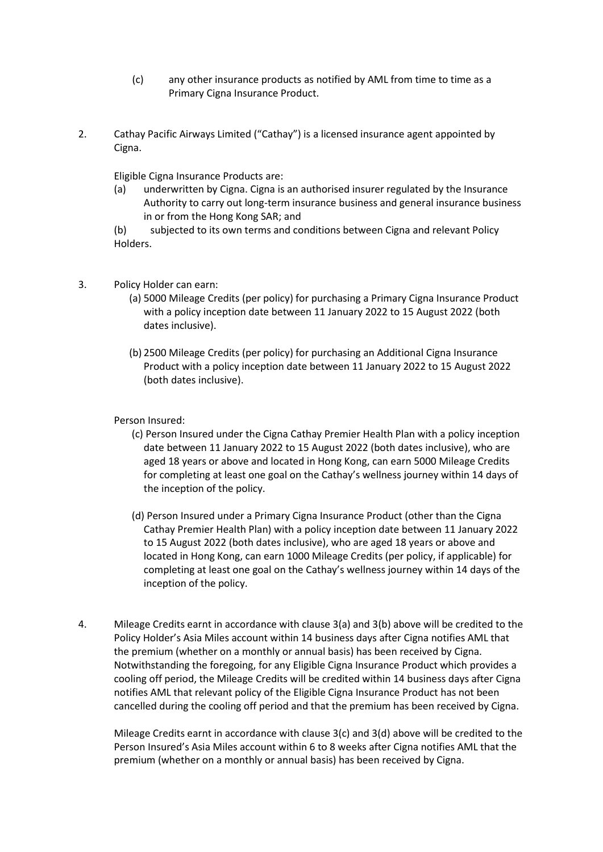- (c) any other insurance products as notified by AML from time to time as a Primary Cigna Insurance Product.
- 2. Cathay Pacific Airways Limited ("Cathay") is a licensed insurance agent appointed by Cigna.

Eligible Cigna Insurance Products are:

(a) underwritten by Cigna. Cigna is an authorised insurer regulated by the Insurance Authority to carry out long-term insurance business and general insurance business in or from the Hong Kong SAR; and

(b) subjected to its own terms and conditions between Cigna and relevant Policy Holders.

- 3. Policy Holder can earn:
	- (a) 5000 Mileage Credits (per policy) for purchasing a Primary Cigna Insurance Product with a policy inception date between 11 January 2022 to 15 August 2022 (both dates inclusive).
	- (b) 2500 Mileage Credits (per policy) for purchasing an Additional Cigna Insurance Product with a policy inception date between 11 January 2022 to 15 August 2022 (both dates inclusive).

Person Insured:

- (c) Person Insured under the Cigna Cathay Premier Health Plan with a policy inception date between 11 January 2022 to 15 August 2022 (both dates inclusive), who are aged 18 years or above and located in Hong Kong, can earn 5000 Mileage Credits for completing at least one goal on the Cathay's wellness journey within 14 days of the inception of the policy.
- (d) Person Insured under a Primary Cigna Insurance Product (other than the Cigna Cathay Premier Health Plan) with a policy inception date between 11 January 2022 to 15 August 2022 (both dates inclusive), who are aged 18 years or above and located in Hong Kong, can earn 1000 Mileage Credits (per policy, if applicable) for completing at least one goal on the Cathay's wellness journey within 14 days of the inception of the policy.
- 4. Mileage Credits earnt in accordance with clause 3(a) and 3(b) above will be credited to the Policy Holder's Asia Miles account within 14 business days after Cigna notifies AML that the premium (whether on a monthly or annual basis) has been received by Cigna. Notwithstanding the foregoing, for any Eligible Cigna Insurance Product which provides a cooling off period, the Mileage Credits will be credited within 14 business days after Cigna notifies AML that relevant policy of the Eligible Cigna Insurance Product has not been cancelled during the cooling off period and that the premium has been received by Cigna.

Mileage Credits earnt in accordance with clause 3(c) and 3(d) above will be credited to the Person Insured's Asia Miles account within 6 to 8 weeks after Cigna notifies AML that the premium (whether on a monthly or annual basis) has been received by Cigna.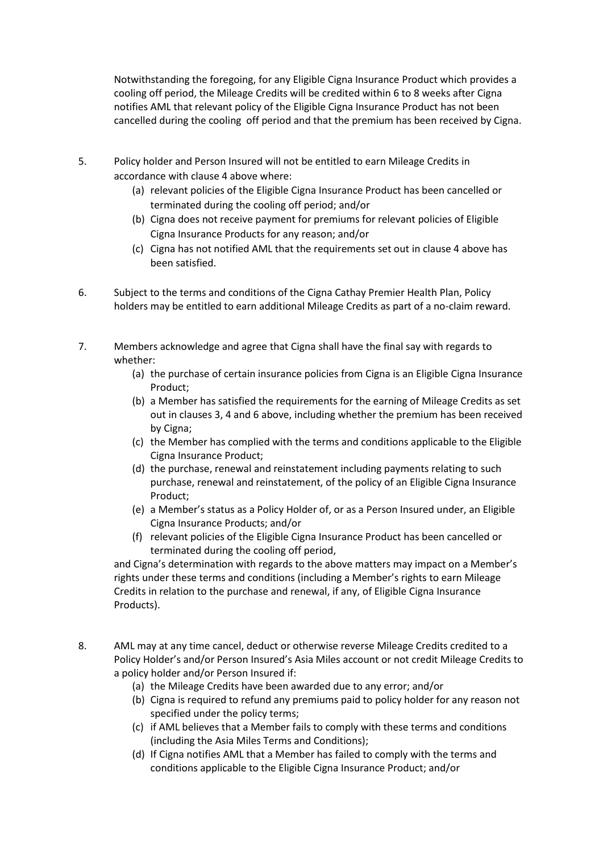Notwithstanding the foregoing, for any Eligible Cigna Insurance Product which provides a cooling off period, the Mileage Credits will be credited within 6 to 8 weeks after Cigna notifies AML that relevant policy of the Eligible Cigna Insurance Product has not been cancelled during the cooling off period and that the premium has been received by Cigna.

- 5. Policy holder and Person Insured will not be entitled to earn Mileage Credits in accordance with clause 4 above where:
	- (a) relevant policies of the Eligible Cigna Insurance Product has been cancelled or terminated during the cooling off period; and/or
	- (b) Cigna does not receive payment for premiums for relevant policies of Eligible Cigna Insurance Products for any reason; and/or
	- (c) Cigna has not notified AML that the requirements set out in clause 4 above has been satisfied.
- 6. Subject to the terms and conditions of the Cigna Cathay Premier Health Plan, Policy holders may be entitled to earn additional Mileage Credits as part of a no-claim reward.
- 7. Members acknowledge and agree that Cigna shall have the final say with regards to whether:
	- (a) the purchase of certain insurance policies from Cigna is an Eligible Cigna Insurance Product;
	- (b) a Member has satisfied the requirements for the earning of Mileage Credits as set out in clauses 3, 4 and 6 above, including whether the premium has been received by Cigna;
	- (c) the Member has complied with the terms and conditions applicable to the Eligible Cigna Insurance Product;
	- (d) the purchase, renewal and reinstatement including payments relating to such purchase, renewal and reinstatement, of the policy of an Eligible Cigna Insurance Product;
	- (e) a Member's status as a Policy Holder of, or as a Person Insured under, an Eligible Cigna Insurance Products; and/or
	- (f) relevant policies of the Eligible Cigna Insurance Product has been cancelled or terminated during the cooling off period,

and Cigna's determination with regards to the above matters may impact on a Member's rights under these terms and conditions (including a Member's rights to earn Mileage Credits in relation to the purchase and renewal, if any, of Eligible Cigna Insurance Products).

- 8. AML may at any time cancel, deduct or otherwise reverse Mileage Credits credited to a Policy Holder's and/or Person Insured's Asia Miles account or not credit Mileage Credits to a policy holder and/or Person Insured if:
	- (a) the Mileage Credits have been awarded due to any error; and/or
	- (b) Cigna is required to refund any premiums paid to policy holder for any reason not specified under the policy terms;
	- (c) if AML believes that a Member fails to comply with these terms and conditions (including the Asia Miles Terms and Conditions);
	- (d) If Cigna notifies AML that a Member has failed to comply with the terms and conditions applicable to the Eligible Cigna Insurance Product; and/or